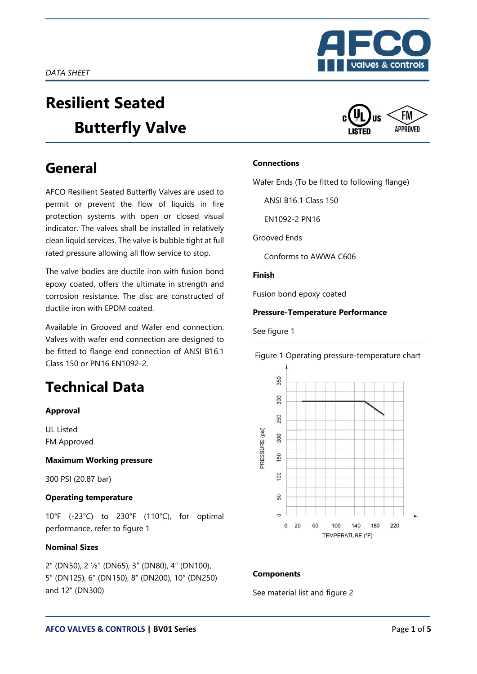# **Resilient Seated Butterfly Valve**

## **General**

AFCO Resilient Seated Butterfly Valves are used to permit or prevent the flow of liquids in fire protection systems with open or closed visual indicator. The valves shall be installed in relatively clean liquid services. The valve is bubble tight at full rated pressure allowing all flow service to stop.

The valve bodies are ductile iron with fusion bond epoxy coated, offers the ultimate in strength and corrosion resistance. The disc are constructed of ductile iron with EPDM coated.

Available in Grooved and Wafer end connection. Valves with wafer end connection are designed to be fitted to flange end connection of ANSI B16.1 Class 150 or PN16 EN1092-2.

# **Technical Data**

#### **Approval**

UL Listed FM Approved

#### **Maximum Working pressure**

300 PSI (20.87 bar)

#### **Operating temperature**

10°F (-23°C) to 230°F (110°C), for optimal performance, refer to figure 1

#### **Nominal Sizes**

2" (DN50), 2 ½" (DN65), 3" (DN80), 4" (DN100), 5" (DN125), 6" (DN150), 8" (DN200), 10" (DN250) and 12" (DN300)





#### **Connections**

Wafer Ends (To be fitted to following flange)

ANSI B16.1 Class 150

EN1092-2 PN16

Grooved Ends

Conforms to AWWA C606

#### **Finish**

Fusion bond epoxy coated

#### **Pressure-Temperature Performance**

See figure 1





#### **Components**

See material list and figure 2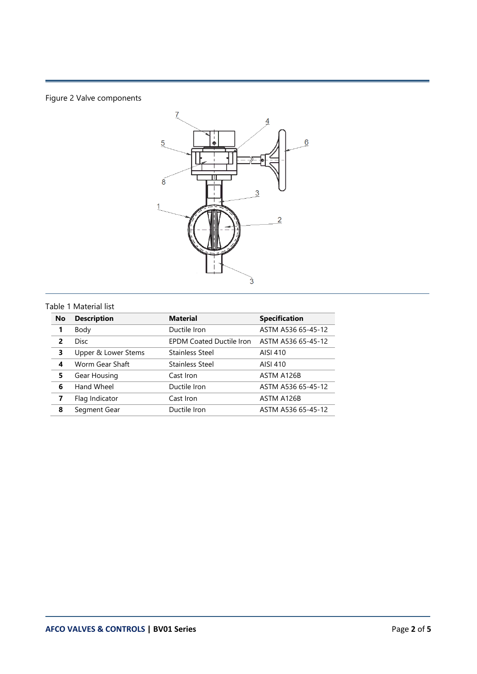### Figure 2 Valve components



#### Table 1 Material list

| <b>No</b>               | <b>Description</b>  | <b>Material</b>                 | <b>Specification</b> |
|-------------------------|---------------------|---------------------------------|----------------------|
|                         | Body                | Ductile Iron                    | ASTM A536 65-45-12   |
| $\overline{\mathbf{z}}$ | <b>Disc</b>         | <b>EPDM Coated Ductile Iron</b> | ASTM A536 65-45-12   |
| 3                       | Upper & Lower Stems | <b>Stainless Steel</b>          | AISI 410             |
| 4                       | Worm Gear Shaft     | <b>Stainless Steel</b>          | AISI 410             |
| 5                       | Gear Housing        | Cast Iron                       | ASTM A126B           |
| 6                       | Hand Wheel          | Ductile Iron                    | ASTM A536 65-45-12   |
| 7                       | Flag Indicator      | Cast Iron                       | ASTM A126B           |
| 8                       | Segment Gear        | Ductile Iron                    | ASTM A536 65-45-12   |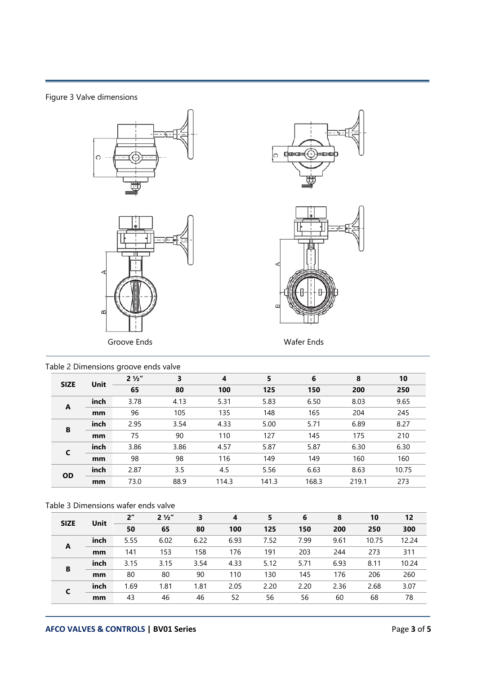Figure 3 Valve dimensions









| Table 2 Dimensions groove ends valve |      |                |      |       |       |       |       |       |
|--------------------------------------|------|----------------|------|-------|-------|-------|-------|-------|
| <b>SIZE</b>                          | Unit | $2\frac{1}{2}$ | 3    | 4     | 5     | 6     | 8     | 10    |
|                                      |      | 65             | 80   | 100   | 125   | 150   | 200   | 250   |
| A                                    | inch | 3.78           | 4.13 | 5.31  | 5.83  | 6.50  | 8.03  | 9.65  |
|                                      | mm   | 96             | 105  | 135   | 148   | 165   | 204   | 245   |
| B                                    | inch | 2.95           | 3.54 | 4.33  | 5.00  | 5.71  | 6.89  | 8.27  |
|                                      | mm   | 75             | 90   | 110   | 127   | 145   | 175   | 210   |
| C                                    | inch | 3.86           | 3.86 | 4.57  | 5.87  | 5.87  | 6.30  | 6.30  |
|                                      | mm   | 98             | 98   | 116   | 149   | 149   | 160   | 160   |
|                                      | inch | 2.87           | 3.5  | 4.5   | 5.56  | 6.63  | 8.63  | 10.75 |
| <b>OD</b>                            | mm   | 73.0           | 88.9 | 114.3 | 141.3 | 168.3 | 219.1 | 273   |

#### Table 3 Dimensions wafer ends valve

| <b>SIZE</b> | Unit | 2 <sup>''</sup> | $2\frac{1}{2}$ | 3    | 4    | 5    | 6    | 8    | 10    | 12    |
|-------------|------|-----------------|----------------|------|------|------|------|------|-------|-------|
|             |      | 50              | 65             | 80   | 100  | 125  | 150  | 200  | 250   | 300   |
|             | inch | 5.55            | 6.02           | 6.22 | 6.93 | 7.52 | 7.99 | 9.61 | 10.75 | 12.24 |
| A           | mm   | 141             | 153            | 158  | 176  | 191  | 203  | 244  | 273   | 311   |
| B           | inch | 3.15            | 3.15           | 3.54 | 4.33 | 5.12 | 5.71 | 6.93 | 8.11  | 10.24 |
|             | mm   | 80              | 80             | 90   | 110  | 130  | 145  | 176  | 206   | 260   |
|             | inch | 1.69            | 1.81           | 1.81 | 2.05 | 2.20 | 2.20 | 2.36 | 2.68  | 3.07  |
|             | mm   | 43              | 46             | 46   | 52   | 56   | 56   | 60   | 68    | 78    |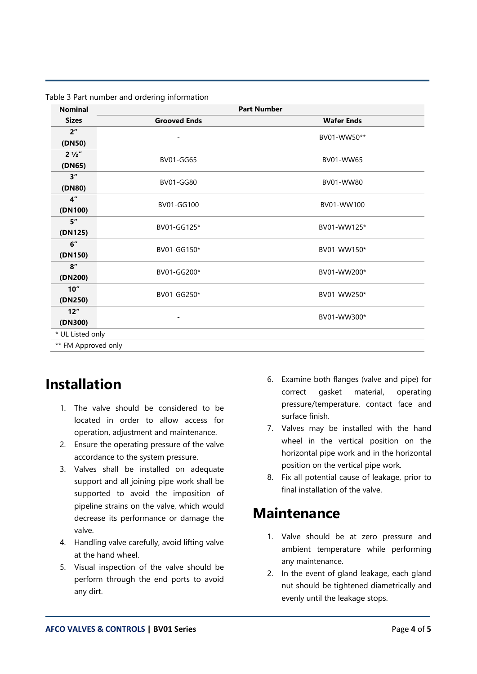| <b>Nominal</b>      |                     | <b>Part Number</b> |  |  |  |  |  |
|---------------------|---------------------|--------------------|--|--|--|--|--|
| <b>Sizes</b>        | <b>Grooved Ends</b> | <b>Wafer Ends</b>  |  |  |  |  |  |
| 2 <sup>''</sup>     |                     | BV01-WW50**        |  |  |  |  |  |
| (DN50)              |                     |                    |  |  |  |  |  |
| $2\frac{1}{2}$      | <b>BV01-GG65</b>    | BV01-WW65          |  |  |  |  |  |
| (DN65)              |                     |                    |  |  |  |  |  |
| 3''                 | <b>BV01-GG80</b>    | BV01-WW80          |  |  |  |  |  |
| (DN80)              |                     |                    |  |  |  |  |  |
| 4 <sup>''</sup>     | BV01-GG100          | BV01-WW100         |  |  |  |  |  |
| (DN100)             |                     |                    |  |  |  |  |  |
| 5"                  | BV01-GG125*         | BV01-WW125*        |  |  |  |  |  |
| (DN125)             |                     |                    |  |  |  |  |  |
| 6"                  | BV01-GG150*         | BV01-WW150*        |  |  |  |  |  |
| (DN150)             |                     |                    |  |  |  |  |  |
| 8''                 | BV01-GG200*         | BV01-WW200*        |  |  |  |  |  |
| (DN200)             |                     |                    |  |  |  |  |  |
| 10"                 | BV01-GG250*         | BV01-WW250*        |  |  |  |  |  |
| (DN250)             |                     |                    |  |  |  |  |  |
| 12"                 |                     | BV01-WW300*        |  |  |  |  |  |
| (DN300)             |                     |                    |  |  |  |  |  |
|                     | * UL Listed only    |                    |  |  |  |  |  |
| ** FM Approved only |                     |                    |  |  |  |  |  |

Table 3 Part number and ordering information

### **Installation**

- 1. The valve should be considered to be located in order to allow access for operation, adjustment and maintenance.
- 2. Ensure the operating pressure of the valve accordance to the system pressure.
- 3. Valves shall be installed on adequate support and all joining pipe work shall be supported to avoid the imposition of pipeline strains on the valve, which would decrease its performance or damage the valve.
- 4. Handling valve carefully, avoid lifting valve at the hand wheel.
- 5. Visual inspection of the valve should be perform through the end ports to avoid any dirt.
- 6. Examine both flanges (valve and pipe) for correct gasket material, operating pressure/temperature, contact face and surface finish.
- 7. Valves may be installed with the hand wheel in the vertical position on the horizontal pipe work and in the horizontal position on the vertical pipe work.
- 8. Fix all potential cause of leakage, prior to final installation of the valve.

### **Maintenance**

- 1. Valve should be at zero pressure and ambient temperature while performing any maintenance.
- 2. In the event of gland leakage, each gland nut should be tightened diametrically and evenly until the leakage stops.